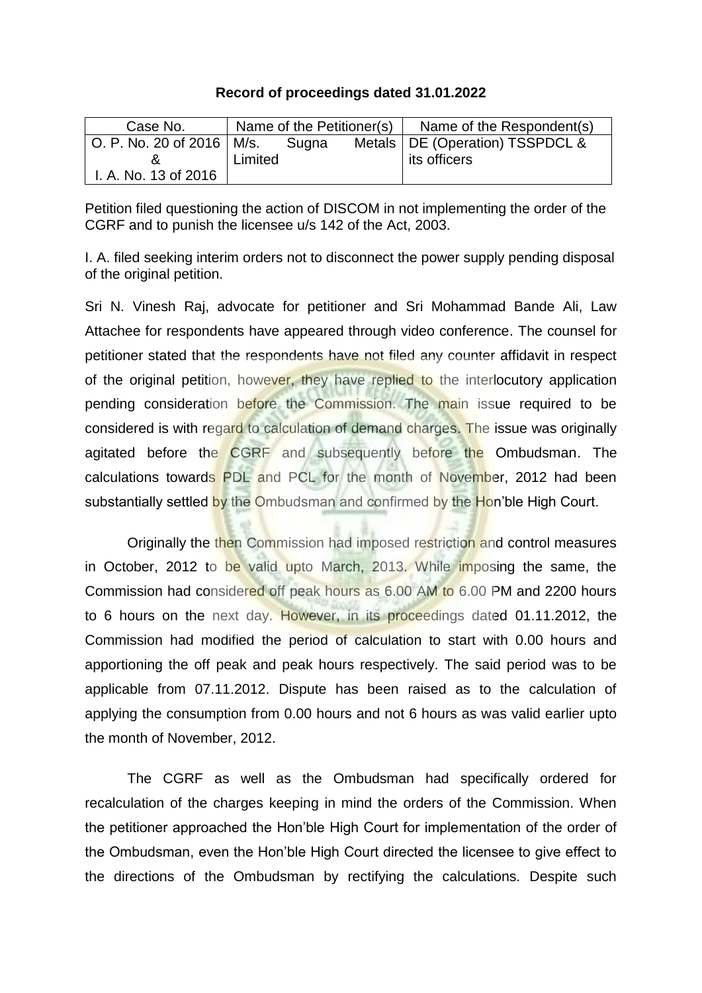## **Record of proceedings dated 31.01.2022**

| Case No.                                        | Name of the Petitioner(s) |  | Name of the Respondent(s)         |
|-------------------------------------------------|---------------------------|--|-----------------------------------|
| $\vert$ O. P. No. 20 of 2016 $\vert$ M/s. Sugna |                           |  | Metals   DE (Operation) TSSPDCL & |
|                                                 | Limited                   |  | its officers                      |
| I. A. No. 13 of 2016                            |                           |  |                                   |

Petition filed questioning the action of DISCOM in not implementing the order of the CGRF and to punish the licensee u/s 142 of the Act, 2003.

I. A. filed seeking interim orders not to disconnect the power supply pending disposal of the original petition.

Sri N. Vinesh Raj, advocate for petitioner and Sri Mohammad Bande Ali, Law Attachee for respondents have appeared through video conference. The counsel for petitioner stated that the respondents have not filed any counter affidavit in respect of the original petition, however, they have replied to the interlocutory application pending consideration before the Commission. The main issue required to be considered is with regard to calculation of demand charges. The issue was originally agitated before the CGRF and subsequently before the Ombudsman. The calculations towards PDL and PCL for the month of November, 2012 had been substantially settled by the Ombudsman and confirmed by the Hon'ble High Court.

Originally the then Commission had imposed restriction and control measures in October, 2012 to be valid upto March, 2013. While imposing the same, the Commission had considered off peak hours as 6.00 AM to 6.00 PM and 2200 hours to 6 hours on the next day. However, in its proceedings dated 01.11.2012, the Commission had modified the period of calculation to start with 0.00 hours and apportioning the off peak and peak hours respectively. The said period was to be applicable from 07.11.2012. Dispute has been raised as to the calculation of applying the consumption from 0.00 hours and not 6 hours as was valid earlier upto the month of November, 2012.

The CGRF as well as the Ombudsman had specifically ordered for recalculation of the charges keeping in mind the orders of the Commission. When the petitioner approached the Hon'ble High Court for implementation of the order of the Ombudsman, even the Hon'ble High Court directed the licensee to give effect to the directions of the Ombudsman by rectifying the calculations. Despite such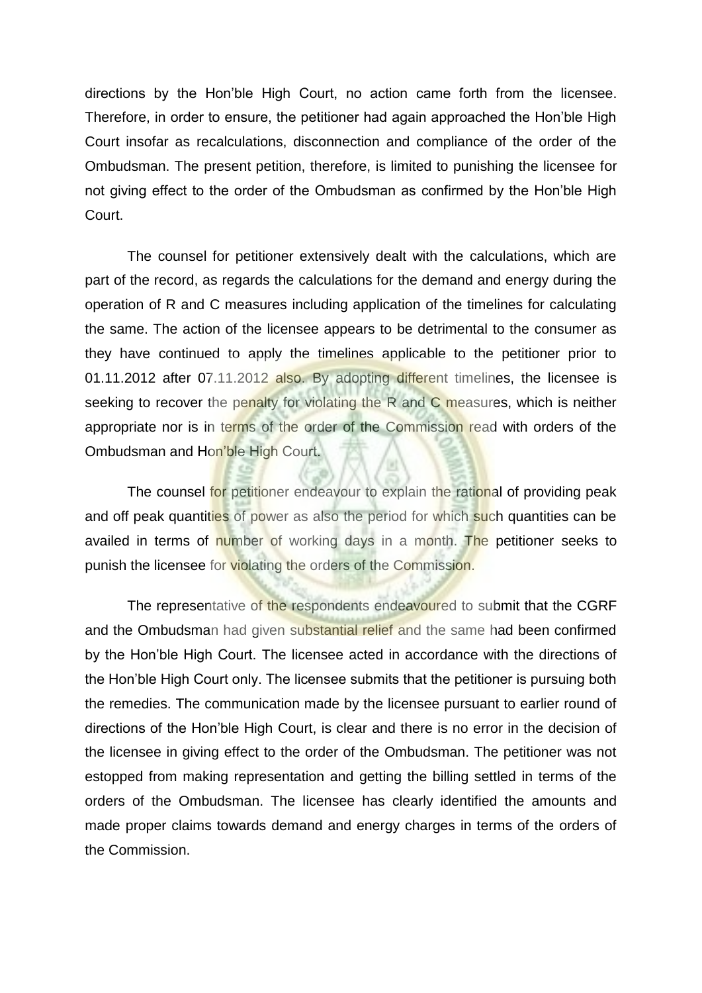directions by the Hon'ble High Court, no action came forth from the licensee. Therefore, in order to ensure, the petitioner had again approached the Hon'ble High Court insofar as recalculations, disconnection and compliance of the order of the Ombudsman. The present petition, therefore, is limited to punishing the licensee for not giving effect to the order of the Ombudsman as confirmed by the Hon'ble High Court.

The counsel for petitioner extensively dealt with the calculations, which are part of the record, as regards the calculations for the demand and energy during the operation of R and C measures including application of the timelines for calculating the same. The action of the licensee appears to be detrimental to the consumer as they have continued to apply the timelines applicable to the petitioner prior to 01.11.2012 after 07.11.2012 also. By adopting different timelines, the licensee is seeking to recover the penalty for violating the R and C measures, which is neither appropriate nor is in terms of the order of the Commission read with orders of the Ombudsman and Hon'ble High Court.

The counsel for petitioner endeavour to explain the rational of providing peak and off peak quantities of power as also the period for which such quantities can be availed in terms of number of working days in a month. The petitioner seeks to punish the licensee for violating the orders of the Commission.

The representative of the respondents endeavoured to submit that the CGRF and the Ombudsman had given substantial relief and the same had been confirmed by the Hon'ble High Court. The licensee acted in accordance with the directions of the Hon'ble High Court only. The licensee submits that the petitioner is pursuing both the remedies. The communication made by the licensee pursuant to earlier round of directions of the Hon'ble High Court, is clear and there is no error in the decision of the licensee in giving effect to the order of the Ombudsman. The petitioner was not estopped from making representation and getting the billing settled in terms of the orders of the Ombudsman. The licensee has clearly identified the amounts and made proper claims towards demand and energy charges in terms of the orders of the Commission.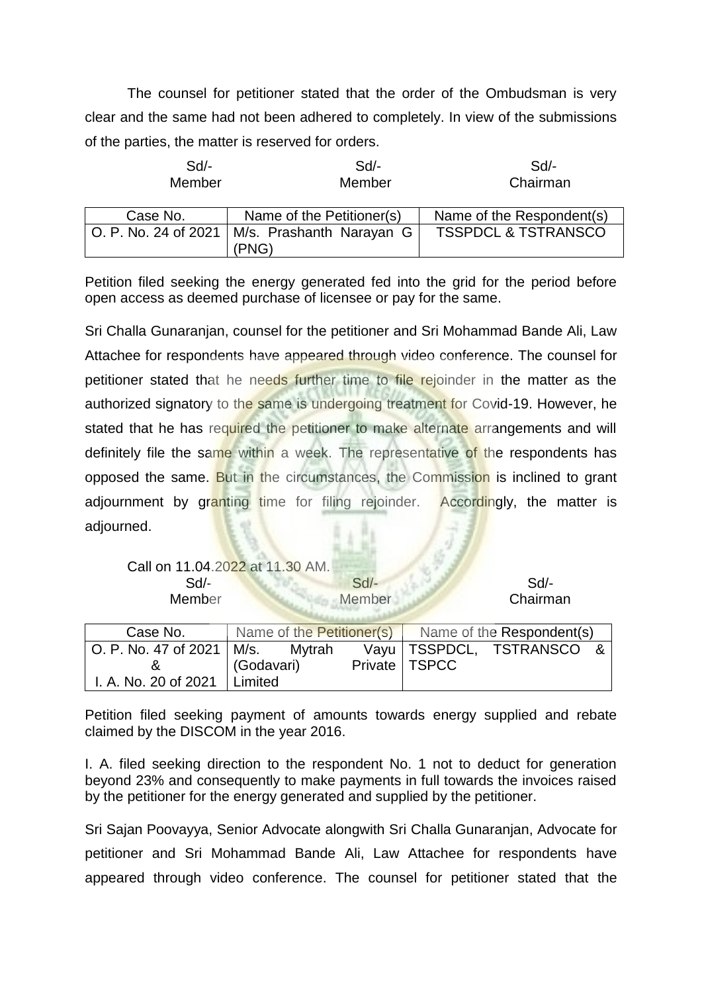The counsel for petitioner stated that the order of the Ombudsman is very clear and the same had not been adhered to completely. In view of the submissions of the parties, the matter is reserved for orders.

| Sd<br>Member         | Sd<br>Member                      | Sd<br>Chairman                 |
|----------------------|-----------------------------------|--------------------------------|
| Case No.             | Name of the Petitioner(s)         | Name of the Respondent(s)      |
| O. P. No. 24 of 2021 | M/s. Prashanth Narayan G<br>(PNG) | <b>TSSPDCL &amp; TSTRANSCO</b> |

Petition filed seeking the energy generated fed into the grid for the period before open access as deemed purchase of licensee or pay for the same.

Sri Challa Gunaranjan, counsel for the petitioner and Sri Mohammad Bande Ali, Law Attachee for respondents have appeared through video conference. The counsel for petitioner stated that he needs further time to file rejoinder in the matter as the authorized signatory to the same is undergoing treatment for Covid-19. However, he stated that he has required the petitioner to make alternate arrangements and will definitely file the same within a week. The representative of the respondents has opposed the same. But in the circumstances, the Commission is inclined to grant adjournment by granting time for filing rejoinder. Accordingly, the matter is adjourned.

Call on 11.04.2022 at 11.30 AM.

Sd/- Sd/- Sd/- Sd/- Sd/-Member Member Chairman

| Case No.                                         | Name of the Petitioner(s) |  | Name of the Respondent(s) |                           |  |
|--------------------------------------------------|---------------------------|--|---------------------------|---------------------------|--|
| $\vert$ O. P. No. 47 of 2021 $\vert$ M/s. Mytrah |                           |  |                           | Vayu   TSSPDCL, TSTRANSCO |  |
|                                                  | (Godavari)                |  | Private   TSPCC           |                           |  |
| I. A. No. 20 of 2021                             | Limited                   |  |                           |                           |  |

Petition filed seeking payment of amounts towards energy supplied and rebate claimed by the DISCOM in the year 2016.

I. A. filed seeking direction to the respondent No. 1 not to deduct for generation beyond 23% and consequently to make payments in full towards the invoices raised by the petitioner for the energy generated and supplied by the petitioner.

Sri Sajan Poovayya, Senior Advocate alongwith Sri Challa Gunaranjan, Advocate for petitioner and Sri Mohammad Bande Ali, Law Attachee for respondents have appeared through video conference. The counsel for petitioner stated that the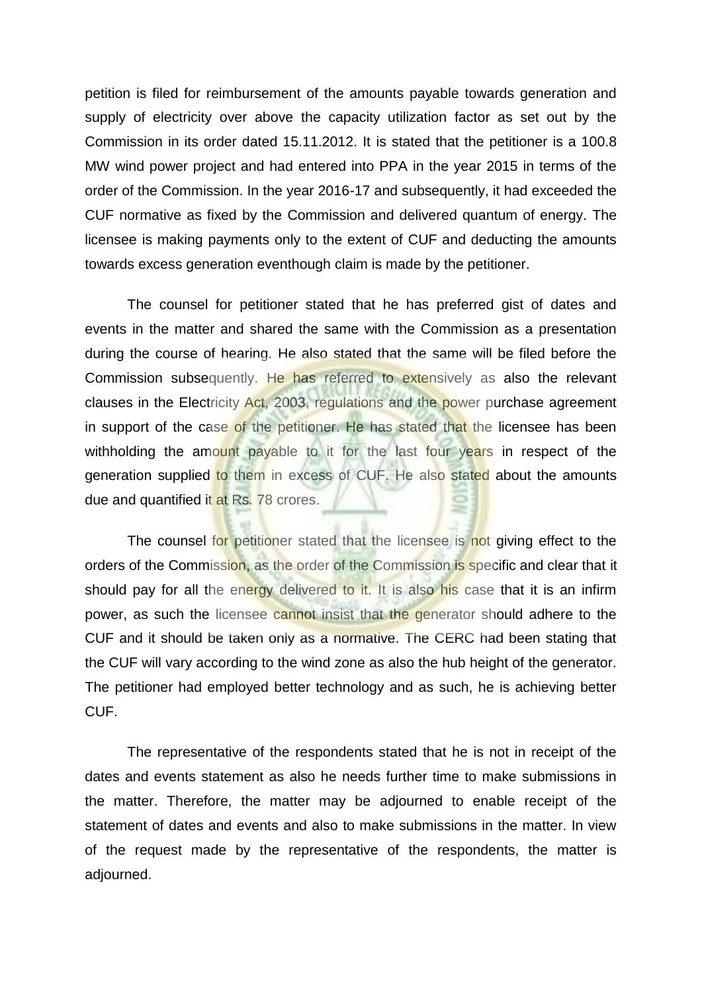petition is filed for reimbursement of the amounts payable towards generation and supply of electricity over above the capacity utilization factor as set out by the Commission in its order dated 15.11.2012. It is stated that the petitioner is a 100.8 MW wind power project and had entered into PPA in the year 2015 in terms of the order of the Commission. In the year 2016-17 and subsequently, it had exceeded the CUF normative as fixed by the Commission and delivered quantum of energy. The licensee is making payments only to the extent of CUF and deducting the amounts towards excess generation eventhough claim is made by the petitioner.

The counsel for petitioner stated that he has preferred gist of dates and events in the matter and shared the same with the Commission as a presentation during the course of hearing. He also stated that the same will be filed before the Commission subsequently. He has referred to extensively as also the relevant clauses in the Electricity Act, 2003, regulations and the power purchase agreement in support of the case of the petitioner. He has stated that the licensee has been withholding the amount payable to it for the last four years in respect of the generation supplied to them in excess of CUF. He also stated about the amounts due and quantified it at Rs. 78 crores.

The counsel for petitioner stated that the licensee is not giving effect to the orders of the Commission, as the order of the Commission is specific and clear that it should pay for all the energy delivered to it. It is also his case that it is an infirm power, as such the licensee cannot insist that the generator should adhere to the CUF and it should be taken only as a normative. The CERC had been stating that the CUF will vary according to the wind zone as also the hub height of the generator. The petitioner had employed better technology and as such, he is achieving better CUF.

The representative of the respondents stated that he is not in receipt of the dates and events statement as also he needs further time to make submissions in the matter. Therefore, the matter may be adjourned to enable receipt of the statement of dates and events and also to make submissions in the matter. In view of the request made by the representative of the respondents, the matter is adjourned.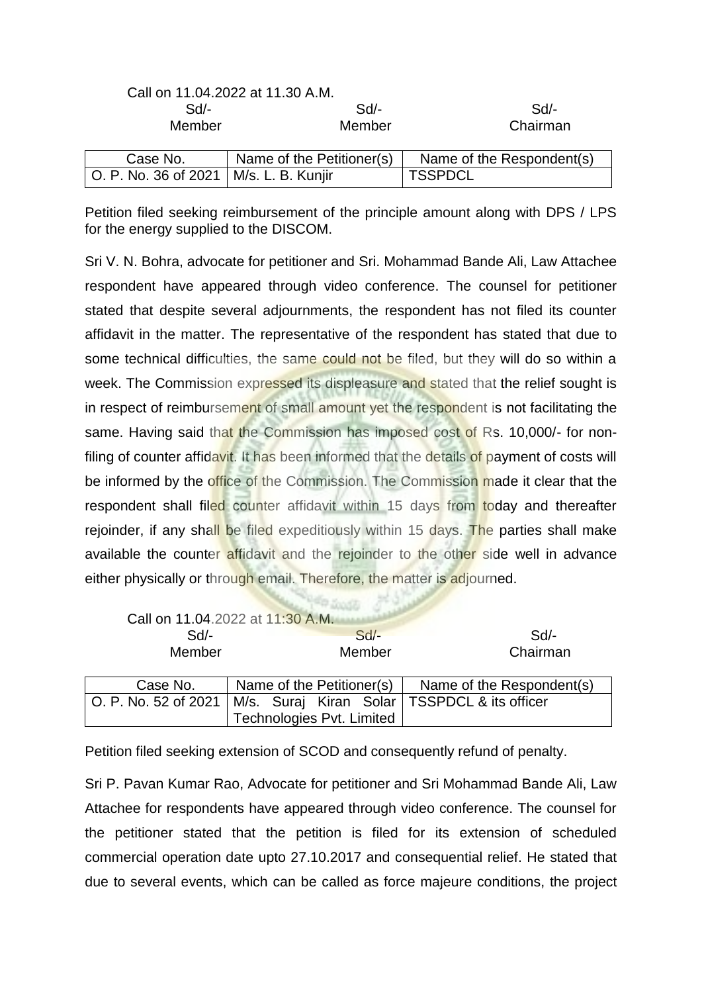|                                          | Call on 11.04.2022 at 11.30 A.M. |                           |
|------------------------------------------|----------------------------------|---------------------------|
| $Sd$ -                                   | $Sd$ -                           | Sd                        |
| Member                                   | Member                           | Chairman                  |
| Case No.                                 | Name of the Petitioner(s)        | Name of the Respondent(s) |
| O. P. No. 36 of 2021   M/s. L. B. Kunjir |                                  | <b>TSSPDCL</b>            |

Petition filed seeking reimbursement of the principle amount along with DPS / LPS for the energy supplied to the DISCOM.

Sri V. N. Bohra, advocate for petitioner and Sri. Mohammad Bande Ali, Law Attachee respondent have appeared through video conference. The counsel for petitioner stated that despite several adjournments, the respondent has not filed its counter affidavit in the matter. The representative of the respondent has stated that due to some technical difficulties, the same could not be filed, but they will do so within a week. The Commission expressed its displeasure and stated that the relief sought is in respect of reimbursement of small amount yet the respondent is not facilitating the same. Having said that the Commission has imposed cost of Rs. 10,000/- for nonfiling of counter affidavit. It has been informed that the details of payment of costs will be informed by the office of the Commission. The Commission made it clear that the respondent shall filed counter affidavit within 15 days from today and thereafter rejoinder, if any shall be filed expeditiously within 15 days. The parties shall make available the counter affidavit and the rejoinder to the other side well in advance either physically or through email. Therefore, the matter is adjourned.

|                      | Call on 11.04.2022 at 11:30 A.M.               |                           |
|----------------------|------------------------------------------------|---------------------------|
| $Sd$ -               | $Sd$ -                                         | Sd                        |
| Member               | Member                                         | Chairman                  |
|                      |                                                |                           |
| Case No.             | Name of the Petitioner(s)                      | Name of the Respondent(s) |
| O. P. No. 52 of 2021 | M/s. Suraj Kiran Solar   TSSPDCL & its officer |                           |
|                      | Technologies Pvt. Limited                      |                           |

Petition filed seeking extension of SCOD and consequently refund of penalty.

Sri P. Pavan Kumar Rao, Advocate for petitioner and Sri Mohammad Bande Ali, Law Attachee for respondents have appeared through video conference. The counsel for the petitioner stated that the petition is filed for its extension of scheduled commercial operation date upto 27.10.2017 and consequential relief. He stated that due to several events, which can be called as force majeure conditions, the project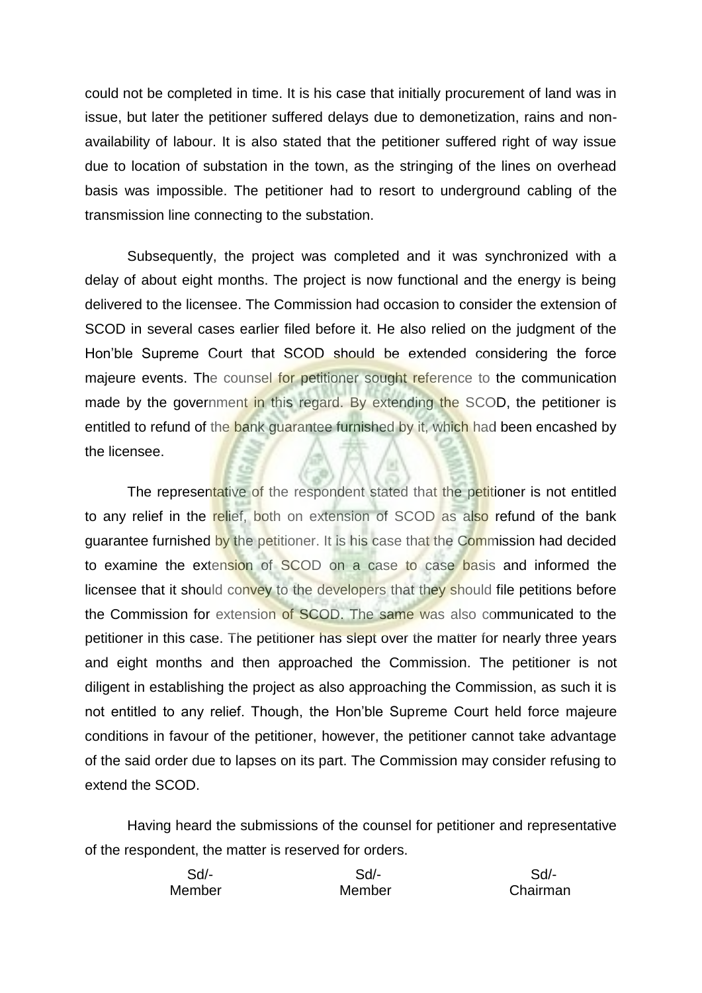could not be completed in time. It is his case that initially procurement of land was in issue, but later the petitioner suffered delays due to demonetization, rains and nonavailability of labour. It is also stated that the petitioner suffered right of way issue due to location of substation in the town, as the stringing of the lines on overhead basis was impossible. The petitioner had to resort to underground cabling of the transmission line connecting to the substation.

Subsequently, the project was completed and it was synchronized with a delay of about eight months. The project is now functional and the energy is being delivered to the licensee. The Commission had occasion to consider the extension of SCOD in several cases earlier filed before it. He also relied on the judgment of the Hon'ble Supreme Court that SCOD should be extended considering the force majeure events. The counsel for petitioner sought reference to the communication made by the government in this regard. By extending the SCOD, the petitioner is entitled to refund of the bank guarantee furnished by it, which had been encashed by the licensee.

The representative of the respondent stated that the petitioner is not entitled to any relief in the relief, both on extension of SCOD as also refund of the bank guarantee furnished by the petitioner. It is his case that the Commission had decided to examine the extension of SCOD on a case to case basis and informed the licensee that it should convey to the developers that they should file petitions before the Commission for extension of SCOD. The same was also communicated to the petitioner in this case. The petitioner has slept over the matter for nearly three years and eight months and then approached the Commission. The petitioner is not diligent in establishing the project as also approaching the Commission, as such it is not entitled to any relief. Though, the Hon'ble Supreme Court held force majeure conditions in favour of the petitioner, however, the petitioner cannot take advantage of the said order due to lapses on its part. The Commission may consider refusing to extend the SCOD.

Having heard the submissions of the counsel for petitioner and representative of the respondent, the matter is reserved for orders.

| Sd/-   | Sd/-   | Sd/-     |
|--------|--------|----------|
| Member | Member | Chairman |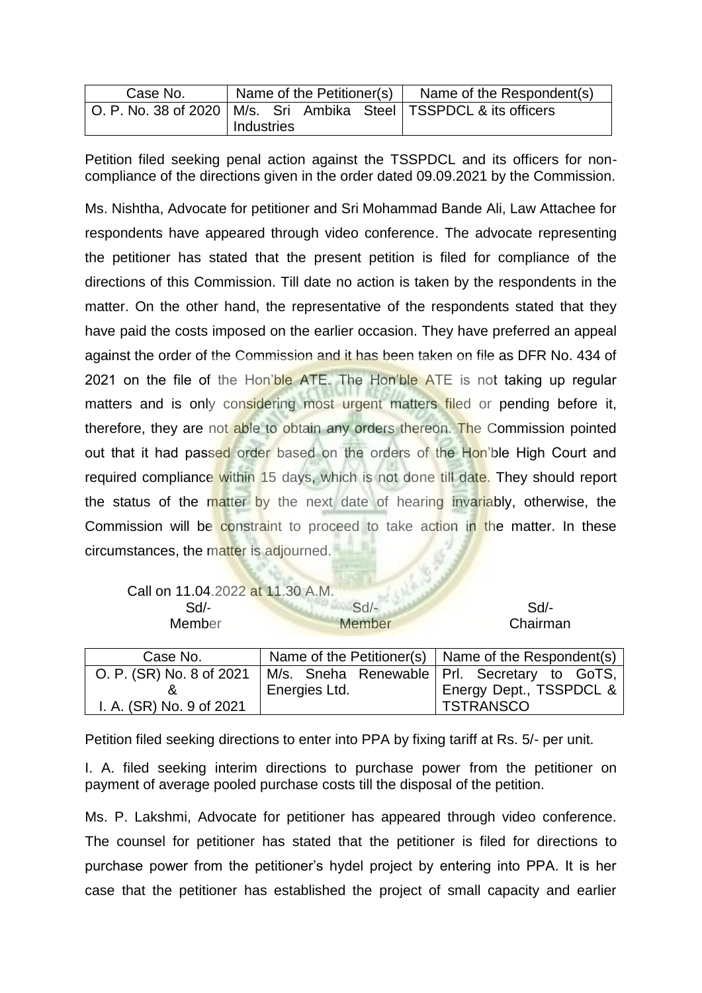| Case No. | Name of the Petitioner(s) |  | Name of the Respondent(s) |  |
|----------|---------------------------|--|---------------------------|--|
|          |                           |  |                           |  |
|          | Industries                |  |                           |  |

Petition filed seeking penal action against the TSSPDCL and its officers for noncompliance of the directions given in the order dated 09.09.2021 by the Commission.

Ms. Nishtha, Advocate for petitioner and Sri Mohammad Bande Ali, Law Attachee for respondents have appeared through video conference. The advocate representing the petitioner has stated that the present petition is filed for compliance of the directions of this Commission. Till date no action is taken by the respondents in the matter. On the other hand, the representative of the respondents stated that they have paid the costs imposed on the earlier occasion. They have preferred an appeal against the order of the Commission and it has been taken on file as DFR No. 434 of 2021 on the file of the Hon'ble ATE. The Hon'ble ATE is not taking up regular matters and is only considering most urgent matters filed or pending before it, therefore, they are not able to obtain any orders thereon. The Commission pointed out that it had passed order based on the orders of the Hon'ble High Court and required compliance within 15 days, which is not done till date. They should report the status of the matter by the next date of hearing invariably, otherwise, the Commission will be constraint to proceed to take action in the matter. In these circumstances, the matter is adjourned.

|  | Call on 11.04.2022 at 11.30 A.M. |  |
|--|----------------------------------|--|
|  |                                  |  |

| Call on 11.04.2022 at 11.30 A.M. |               |          |
|----------------------------------|---------------|----------|
| $Sd$ -                           | Sd            | Sd/-     |
| <b>Member</b>                    | <b>Member</b> | Chairman |
|                                  |               |          |

| Case No.                 |               | Name of the Petitioner(s) $\vert$ Name of the Respondent(s) |
|--------------------------|---------------|-------------------------------------------------------------|
| O. P. (SR) No. 8 of 2021 |               | M/s. Sneha Renewable   Prl. Secretary to GoTS,              |
|                          | Energies Ltd. | Energy Dept., TSSPDCL &                                     |
| I. A. (SR) No. 9 of 2021 |               | <b>TSTRANSCO</b>                                            |

Petition filed seeking directions to enter into PPA by fixing tariff at Rs. 5/- per unit.

I. A. filed seeking interim directions to purchase power from the petitioner on payment of average pooled purchase costs till the disposal of the petition.

Ms. P. Lakshmi, Advocate for petitioner has appeared through video conference. The counsel for petitioner has stated that the petitioner is filed for directions to purchase power from the petitioner's hydel project by entering into PPA. It is her case that the petitioner has established the project of small capacity and earlier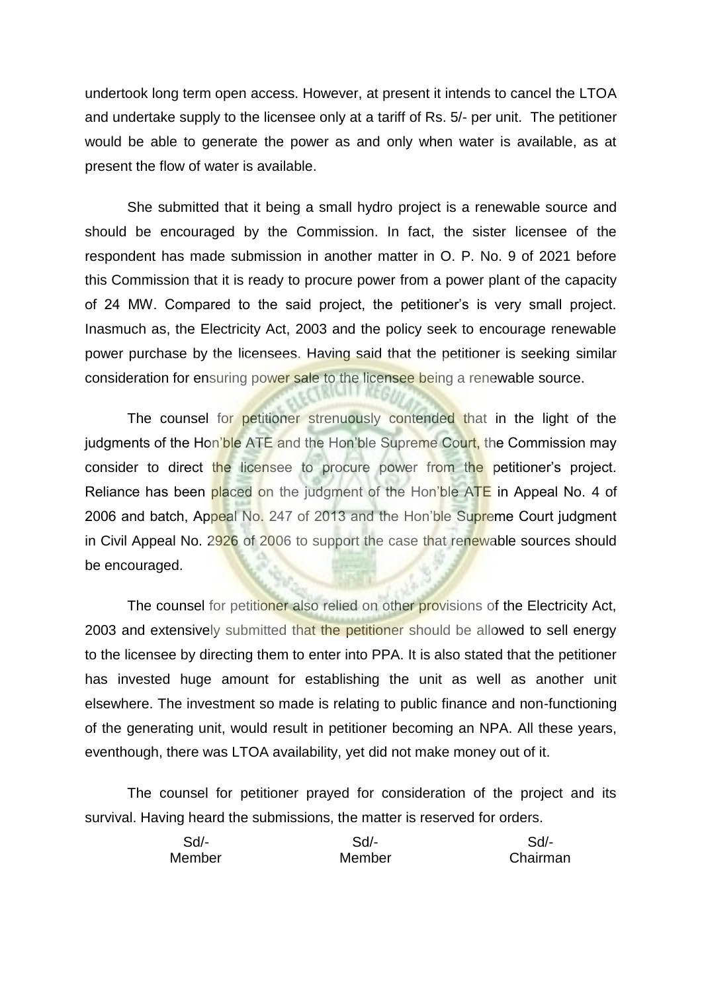undertook long term open access. However, at present it intends to cancel the LTOA and undertake supply to the licensee only at a tariff of Rs. 5/- per unit. The petitioner would be able to generate the power as and only when water is available, as at present the flow of water is available.

She submitted that it being a small hydro project is a renewable source and should be encouraged by the Commission. In fact, the sister licensee of the respondent has made submission in another matter in O. P. No. 9 of 2021 before this Commission that it is ready to procure power from a power plant of the capacity of 24 MW. Compared to the said project, the petitioner's is very small project. Inasmuch as, the Electricity Act, 2003 and the policy seek to encourage renewable power purchase by the licensees. Having said that the petitioner is seeking similar consideration for ensuring power sale to the licensee being a renewable source.

The counsel for petitioner strenuously contended that in the light of the judgments of the Hon'ble ATE and the Hon'ble Supreme Court, the Commission may consider to direct the licensee to procure power from the petitioner's project. Reliance has been placed on the judgment of the Hon'ble ATE in Appeal No. 4 of 2006 and batch, Appeal No. 247 of 2013 and the Hon'ble Supreme Court judgment in Civil Appeal No. 2926 of 2006 to support the case that renewable sources should be encouraged.

The counsel for petitioner also relied on other provisions of the Electricity Act, 2003 and extensively submitted that the petitioner should be allowed to sell energy to the licensee by directing them to enter into PPA. It is also stated that the petitioner has invested huge amount for establishing the unit as well as another unit elsewhere. The investment so made is relating to public finance and non-functioning of the generating unit, would result in petitioner becoming an NPA. All these years, eventhough, there was LTOA availability, yet did not make money out of it.

The counsel for petitioner prayed for consideration of the project and its survival. Having heard the submissions, the matter is reserved for orders.

| Sd/-   | Sd/-   | Sd/-     |
|--------|--------|----------|
| Member | Member | Chairman |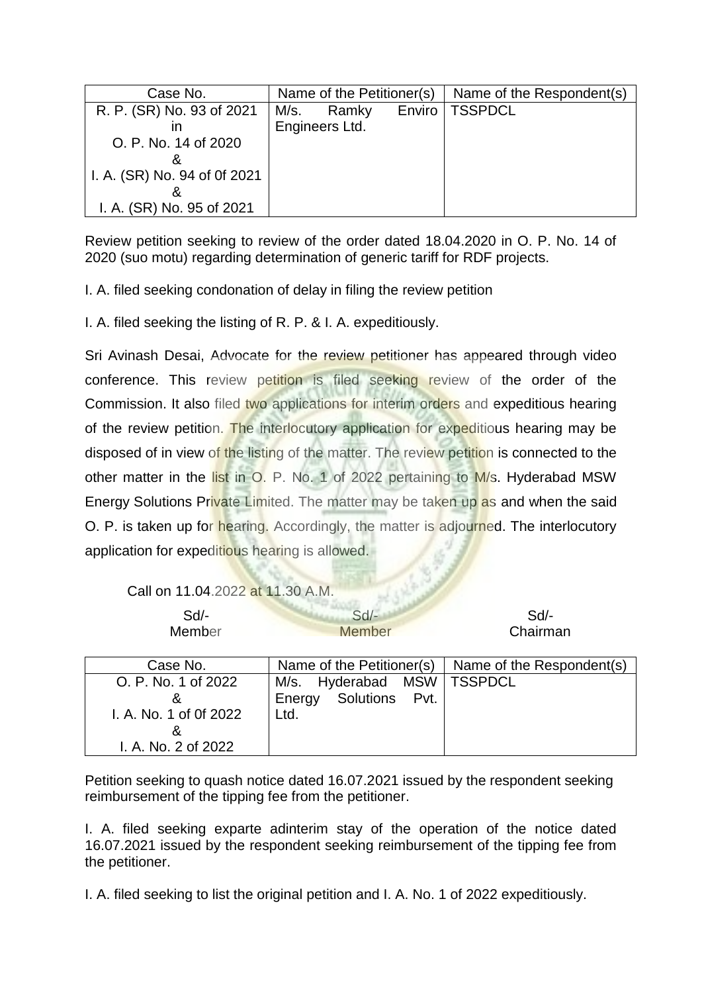| Case No.                     | Name of the Petitioner(s) |                |        | Name of the Respondent(s) |
|------------------------------|---------------------------|----------------|--------|---------------------------|
| R. P. (SR) No. 93 of 2021    | M/s.                      | Ramky          | Enviro | <b>TSSPDCL</b>            |
| ın                           |                           | Engineers Ltd. |        |                           |
| O. P. No. 14 of 2020         |                           |                |        |                           |
|                              |                           |                |        |                           |
| I. A. (SR) No. 94 of 0f 2021 |                           |                |        |                           |
|                              |                           |                |        |                           |
| I. A. (SR) No. 95 of 2021    |                           |                |        |                           |

Review petition seeking to review of the order dated 18.04.2020 in O. P. No. 14 of 2020 (suo motu) regarding determination of generic tariff for RDF projects.

I. A. filed seeking condonation of delay in filing the review petition

I. A. filed seeking the listing of R. P. & I. A. expeditiously.

Sri Avinash Desai, Advocate for the review petitioner has appeared through video conference. This review petition is filed seeking review of the order of the Commission. It also filed two applications for interim orders and expeditious hearing of the review petition. The interlocutory application for expeditious hearing may be disposed of in view of the listing of the matter. The review petition is connected to the other matter in the list in O. P. No. 1 of 2022 pertaining to M/s. Hyderabad MSW Energy Solutions Private Limited. The matter may be taken up as and when the said O. P. is taken up for hearing. Accordingly, the matter is adjourned. The interlocutory application for expeditious hearing is allowed.

Call on 11.04.2022 at 11.30 A.M.

I. A. No. 2 of 2022

| Sd<br>Member           | $Sd$ -<br><b>Member</b>      | Sd<br>Chairman            |
|------------------------|------------------------------|---------------------------|
| Case No.               | Name of the Petitioner(s)    | Name of the Respondent(s) |
| O. P. No. 1 of 2022    | M/s. Hyderabad MSW   TSSPDCL |                           |
| &                      | Solutions Pvt.<br>Energy     |                           |
| I. A. No. 1 of 0f 2022 | Ltd.                         |                           |
| ă                      |                              |                           |

Petition seeking to quash notice dated 16.07.2021 issued by the respondent seeking reimbursement of the tipping fee from the petitioner.

I. A. filed seeking exparte adinterim stay of the operation of the notice dated 16.07.2021 issued by the respondent seeking reimbursement of the tipping fee from the petitioner.

I. A. filed seeking to list the original petition and I. A. No. 1 of 2022 expeditiously.